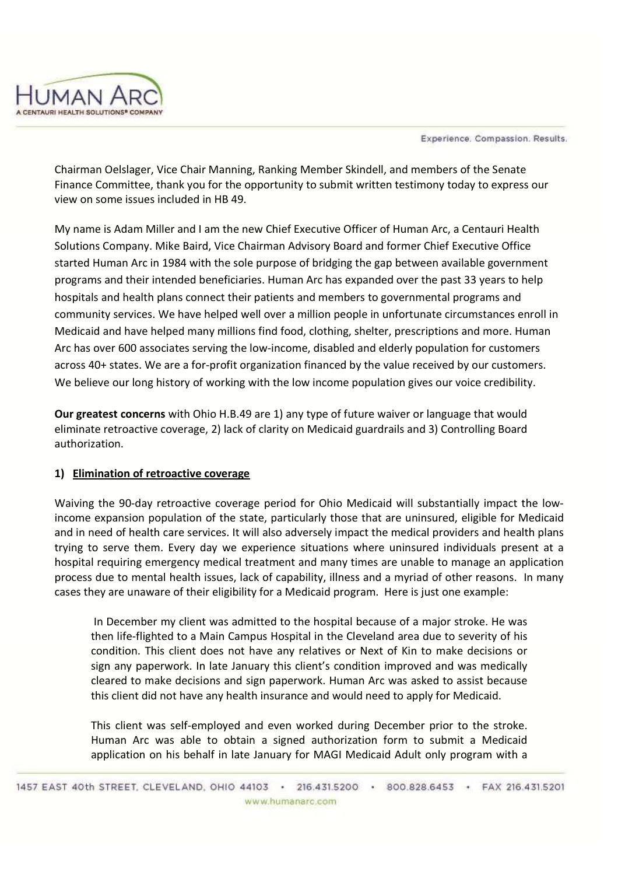



Chairman Oelslager, Vice Chair Manning, Ranking Member Skindell, and members of the Senate Finance Committee, thank you for the opportunity to submit written testimony today to express our view on some issues included in HB 49.

My name is Adam Miller and I am the new Chief Executive Officer of Human Arc, a Centauri Health Solutions Company. Mike Baird, Vice Chairman Advisory Board and former Chief Executive Office started Human Arc in 1984 with the sole purpose of bridging the gap between available government programs and their intended beneficiaries. Human Arc has expanded over the past 33 years to help hospitals and health plans connect their patients and members to governmental programs and community services. We have helped well over a million people in unfortunate circumstances enroll in Medicaid and have helped many millions find food, clothing, shelter, prescriptions and more. Human Arc has over 600 associates serving the low-income, disabled and elderly population for customers across 40+ states. We are a for-profit organization financed by the value received by our customers. We believe our long history of working with the low income population gives our voice credibility.

**Our greatest concerns** with Ohio H.B.49 are 1) any type of future waiver or language that would eliminate retroactive coverage, 2) lack of clarity on Medicaid guardrails and 3) Controlling Board authorization.

# **1) Elimination of retroactive coverage**

Waiving the 90-day retroactive coverage period for Ohio Medicaid will substantially impact the lowincome expansion population of the state, particularly those that are uninsured, eligible for Medicaid and in need of health care services. It will also adversely impact the medical providers and health plans trying to serve them. Every day we experience situations where uninsured individuals present at a hospital requiring emergency medical treatment and many times are unable to manage an application process due to mental health issues, lack of capability, illness and a myriad of other reasons. In many cases they are unaware of their eligibility for a Medicaid program. Here is just one example:

In December my client was admitted to the hospital because of a major stroke. He was then life-flighted to a Main Campus Hospital in the Cleveland area due to severity of his condition. This client does not have any relatives or Next of Kin to make decisions or sign any paperwork. In late January this client's condition improved and was medically cleared to make decisions and sign paperwork. Human Arc was asked to assist because this client did not have any health insurance and would need to apply for Medicaid.

This client was self-employed and even worked during December prior to the stroke. Human Arc was able to obtain a signed authorization form to submit a Medicaid application on his behalf in late January for MAGI Medicaid Adult only program with a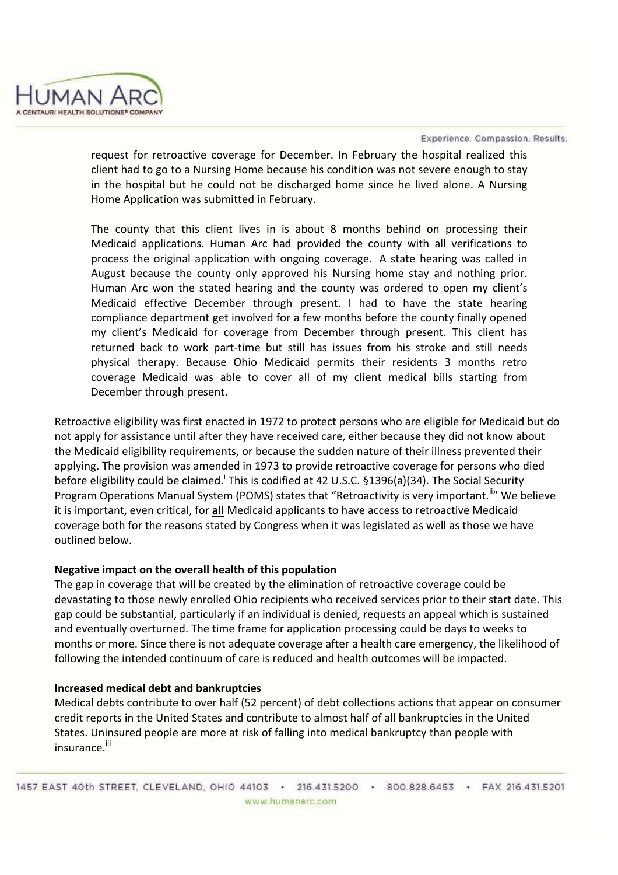

Experience, Compassion, Results.

request for retroactive coverage for December. In February the hospital realized this client had to go to a Nursing Home because his condition was not severe enough to stay in the hospital but he could not be discharged home since he lived alone. A Nursing Home Application was submitted in February.

The county that this client lives in is about 8 months behind on processing their Medicaid applications. Human Arc had provided the county with all verifications to process the original application with ongoing coverage. A state hearing was called in August because the county only approved his Nursing home stay and nothing prior. Human Arc won the stated hearing and the county was ordered to open my client's Medicaid effective December through present. I had to have the state hearing compliance department get involved for a few months before the county finally opened my client's Medicaid for coverage from December through present. This client has returned back to work part-time but still has issues from his stroke and still needs physical therapy. Because Ohio Medicaid permits their residents 3 months retro coverage Medicaid was able to cover all of my client medical bills starting from December through present.

Retroactive eligibility was first enacted in 1972 to protect persons who are eligible for Medicaid but do not apply for assistance until after they have received care, either because they did not know about the Medicaid eligibility requirements, or because the sudden nature of their illness prevented their applying. The provision was amended in 1973 to provide retroactive coverage for persons who died before eligibility could be claimed.<sup>i</sup> This is codified at 42 U.S.C. §1396(a)(34). The Social Security Program Operations Manual System (POMS) states that "Retroactivity is very important.<sup>ii</sup>" We believe it is important, even critical, for **all** Medicaid applicants to have access to retroactive Medicaid coverage both for the reasons stated by Congress when it was legislated as well as those we have outlined below.

## **Negative impact on the overall health of this population**

The gap in coverage that will be created by the elimination of retroactive coverage could be devastating to those newly enrolled Ohio recipients who received services prior to their start date. This gap could be substantial, particularly if an individual is denied, requests an appeal which is sustained and eventually overturned. The time frame for application processing could be days to weeks to months or more. Since there is not adequate coverage after a health care emergency, the likelihood of following the intended continuum of care is reduced and health outcomes will be impacted.

## **Increased medical debt and bankruptcies**

Medical debts contribute to over half (52 percent) of debt collections actions that appear on consumer credit reports in the United States and contribute to almost half of all bankruptcies in the United States. Uninsured people are more at risk of falling into medical bankruptcy than people with insurance<sup>iii</sup>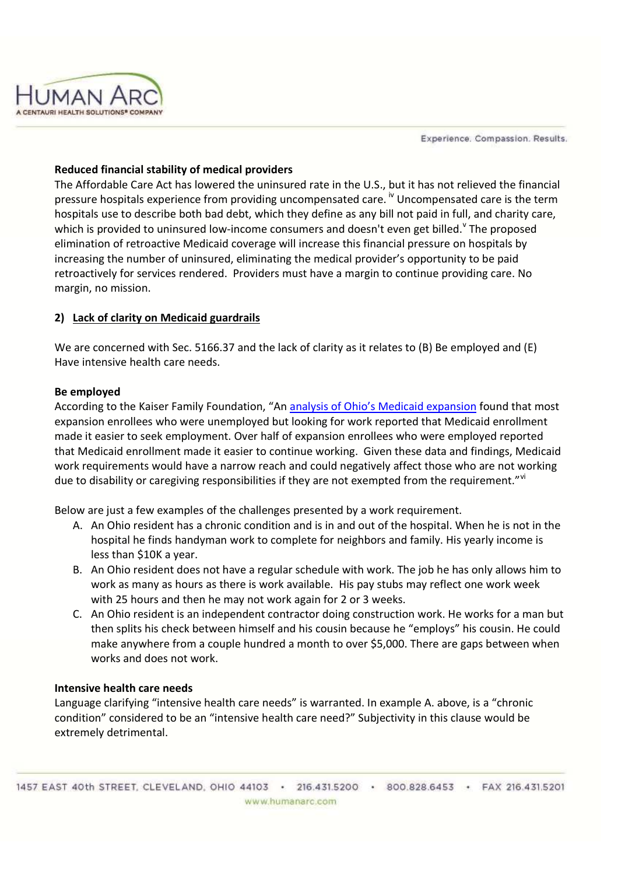Experience, Compassion, Results.



## **Reduced financial stability of medical providers**

The Affordable Care Act has lowered the uninsured rate in the U.S., but it has not relieved the financial pressure hospitals experience from providing uncompensated care.<sup>iv</sup> Uncompensated care is the term hospitals use to describe both bad debt, which they define as any bill not paid in full, and charity care, which is provided to uninsured low-income consumers and doesn't even get billed.<sup>v</sup> The proposed elimination of retroactive Medicaid coverage will increase this financial pressure on hospitals by increasing the number of uninsured, eliminating the medical provider's opportunity to be paid retroactively for services rendered. Providers must have a margin to continue providing care. No margin, no mission.

## **2) Lack of clarity on Medicaid guardrails**

We are concerned with Sec. 5166.37 and the lack of clarity as it relates to (B) Be employed and (E) Have intensive health care needs.

## **Be employed**

According to the Kaiser Family Foundation, "An analysis of Ohio's Medicaid expansion found that most expansion enrollees who were unemployed but looking for work reported that Medicaid enrollment made it easier to seek employment. Over half of expansion enrollees who were employed reported that Medicaid enrollment made it easier to continue working. Given these data and findings, Medicaid work requirements would have a narrow reach and could negatively affect those who are not working due to disability or caregiving responsibilities if they are not exempted from the requirement." Vi

Below are just a few examples of the challenges presented by a work requirement.

- A. An Ohio resident has a chronic condition and is in and out of the hospital. When he is not in the hospital he finds handyman work to complete for neighbors and family. His yearly income is less than \$10K a year.
- B. An Ohio resident does not have a regular schedule with work. The job he has only allows him to work as many as hours as there is work available. His pay stubs may reflect one work week with 25 hours and then he may not work again for 2 or 3 weeks.
- C. An Ohio resident is an independent contractor doing construction work. He works for a man but then splits his check between himself and his cousin because he "employs" his cousin. He could make anywhere from a couple hundred a month to over \$5,000. There are gaps between when works and does not work.

### **Intensive health care needs**

Language clarifying "intensive health care needs" is warranted. In example A. above, is a "chronic condition" considered to be an "intensive health care need?" Subjectivity in this clause would be extremely detrimental.